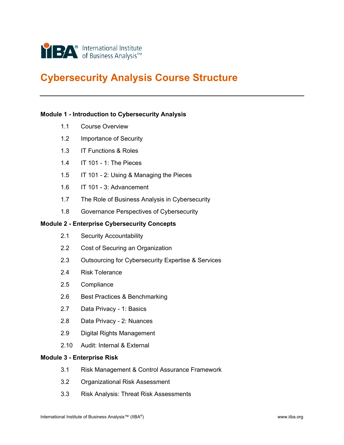

# **Cybersecurity Analysis Course Structure**

#### **Module 1 - Introduction to Cybersecurity Analysis**

- 1.1 Course Overview
- 1.2 Importance of Security
- 1.3 IT Functions & Roles
- 1.4 IT 101 1: The Pieces
- 1.5 IT 101 2: Using & Managing the Pieces
- 1.6 IT 101 3: Advancement
- 1.7 The Role of Business Analysis in Cybersecurity
- 1.8 Governance Perspectives of Cybersecurity

# **Module 2 - Enterprise Cybersecurity Concepts**

- 2.1 Security Accountability
- 2.2 Cost of Securing an Organization
- 2.3 Outsourcing for Cybersecurity Expertise & Services
- 2.4 Risk Tolerance
- 2.5 Compliance
- 2.6 Best Practices & Benchmarking
- 2.7 Data Privacy 1: Basics
- 2.8 Data Privacy 2: Nuances
- 2.9 Digital Rights Management
- 2.10 Audit: Internal & External

## **Module 3 - Enterprise Risk**

- 3.1 Risk Management & Control Assurance Framework
- 3.2 Organizational Risk Assessment
- 3.3 Risk Analysis: Threat Risk Assessments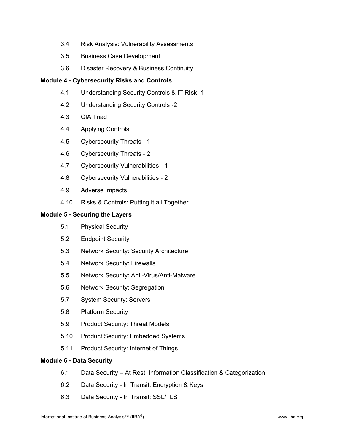- 3.4 Risk Analysis: Vulnerability Assessments
- 3.5 Business Case Development
- 3.6 Disaster Recovery & Business Continuity

#### **Module 4 - Cybersecurity Risks and Controls**

- 4.1 Understanding Security Controls & IT RIsk -1
- 4.2 Understanding Security Controls -2
- 4.3 CIA Triad
- 4.4 Applying Controls
- 4.5 Cybersecurity Threats 1
- 4.6 Cybersecurity Threats 2
- 4.7 Cybersecurity Vulnerabilities 1
- 4.8 Cybersecurity Vulnerabilities 2
- 4.9 Adverse Impacts
- 4.10 Risks & Controls: Putting it all Together

#### **Module 5 - Securing the Layers**

- 5.1 Physical Security
- 5.2 Endpoint Security
- 5.3 Network Security: Security Architecture
- 5.4 Network Security: Firewalls
- 5.5 Network Security: Anti-Virus/Anti-Malware
- 5.6 Network Security: Segregation
- 5.7 System Security: Servers
- 5.8 Platform Security
- 5.9 Product Security: Threat Models
- 5.10 Product Security: Embedded Systems
- 5.11 Product Security: Internet of Things

#### **Module 6 - Data Security**

- 6.1 Data Security At Rest: Information Classification & Categorization
- 6.2 Data Security In Transit: Encryption & Keys
- 6.3 Data Security In Transit: SSL/TLS